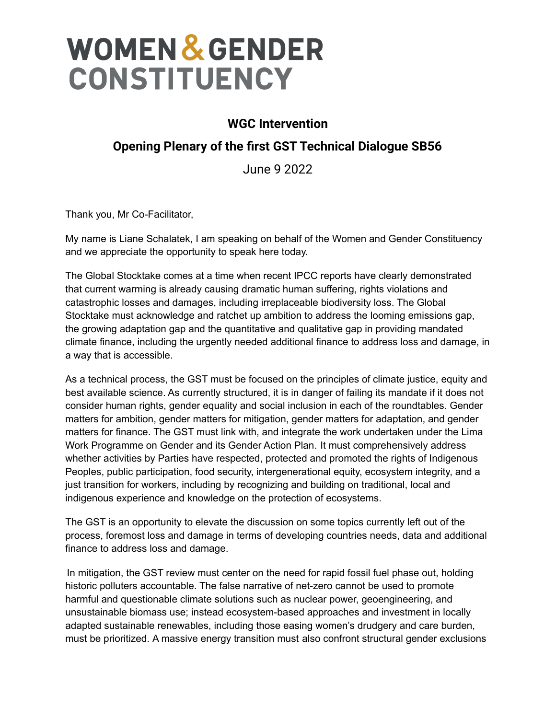## **WOMEN & GENDER CONSTITUENCY**

## **WGC Intervention**

## **Opening Plenary of the first GST Technical Dialogue SB56**

June 9 2022

Thank you, Mr Co-Facilitator,

My name is Liane Schalatek, I am speaking on behalf of the Women and Gender Constituency and we appreciate the opportunity to speak here today.

The Global Stocktake comes at a time when recent IPCC reports have clearly demonstrated that current warming is already causing dramatic human suffering, rights violations and catastrophic losses and damages, including irreplaceable biodiversity loss. The Global Stocktake must acknowledge and ratchet up ambition to address the looming emissions gap, the growing adaptation gap and the quantitative and qualitative gap in providing mandated climate finance, including the urgently needed additional finance to address loss and damage, in a way that is accessible.

As a technical process, the GST must be focused on the principles of climate justice, equity and best available science. As currently structured, it is in danger of failing its mandate if it does not consider human rights, gender equality and social inclusion in each of the roundtables. Gender matters for ambition, gender matters for mitigation, gender matters for adaptation, and gender matters for finance. The GST must link with, and integrate the work undertaken under the Lima Work Programme on Gender and its Gender Action Plan. It must comprehensively address whether activities by Parties have respected, protected and promoted the rights of Indigenous Peoples, public participation, food security, intergenerational equity, ecosystem integrity, and a just transition for workers, including by recognizing and building on traditional, local and indigenous experience and knowledge on the protection of ecosystems.

The GST is an opportunity to elevate the discussion on some topics currently left out of the process, foremost loss and damage in terms of developing countries needs, data and additional finance to address loss and damage.

In mitigation, the GST review must center on the need for rapid fossil fuel phase out, holding historic polluters accountable. The false narrative of net-zero cannot be used to promote harmful and questionable climate solutions such as nuclear power, geoengineering, and unsustainable biomass use; instead ecosystem-based approaches and investment in locally adapted sustainable renewables, including those easing women's drudgery and care burden, must be prioritized. A massive energy transition must also confront structural gender exclusions